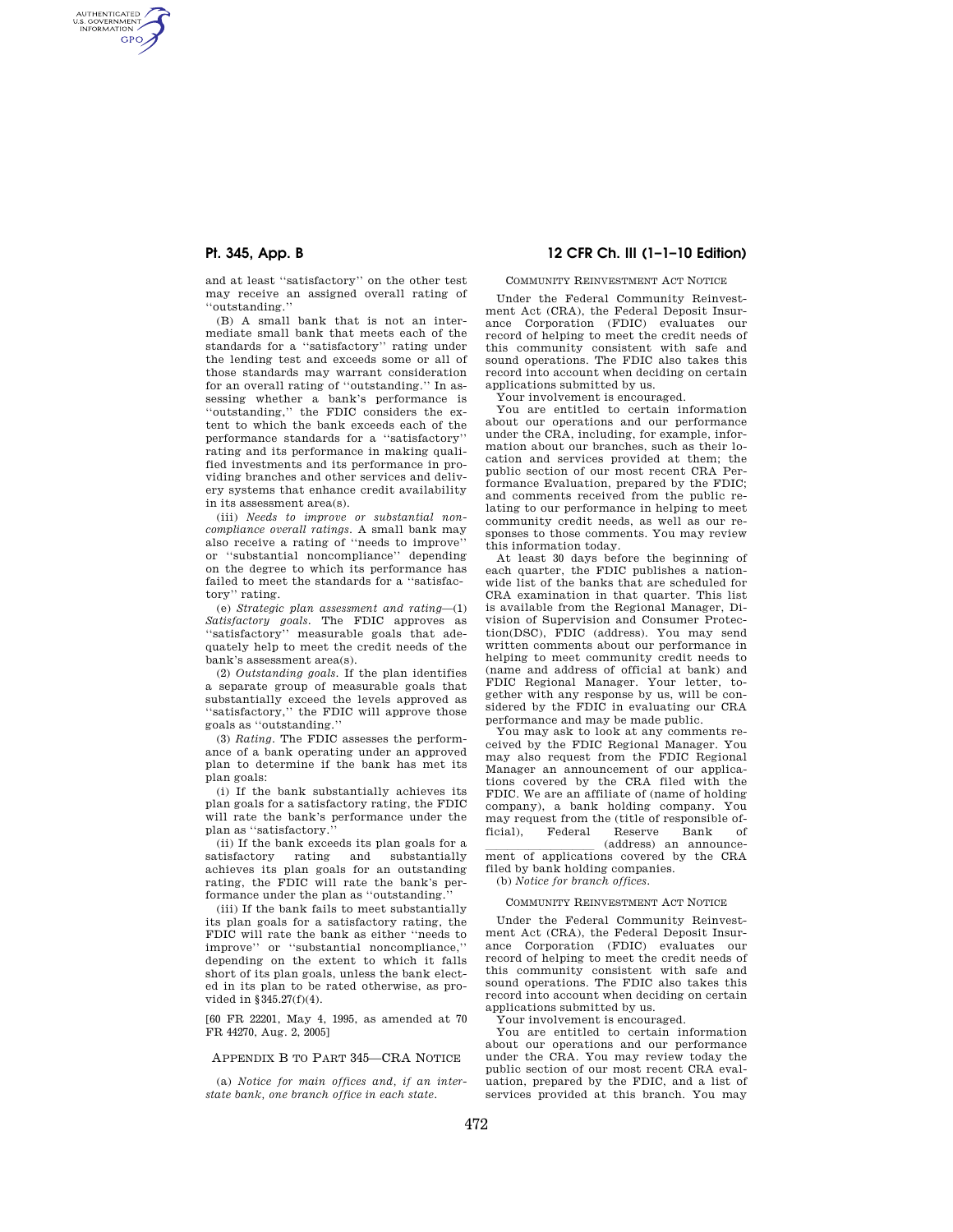AUTHENTICATED<br>U.S. GOVERNMENT<br>INFORMATION **GPO** 

> and at least ''satisfactory'' on the other test may receive an assigned overall rating of ''outstanding.''

> (B) A small bank that is not an intermediate small bank that meets each of the standards for a ''satisfactory'' rating under the lending test and exceeds some or all of those standards may warrant consideration for an overall rating of ''outstanding.'' In assessing whether a bank's performance is ''outstanding,'' the FDIC considers the extent to which the bank exceeds each of the performance standards for a ''satisfactory'' rating and its performance in making qualified investments and its performance in providing branches and other services and delivery systems that enhance credit availability in its assessment area(s).

> (iii) *Needs to improve or substantial noncompliance overall ratings.* A small bank may also receive a rating of ''needs to improve'' or ''substantial noncompliance'' depending on the degree to which its performance has failed to meet the standards for a ''satisfactory'' rating.

> (e) *Strategic plan assessment and rating*—(1) *Satisfactory goals.* The FDIC approves as ''satisfactory'' measurable goals that adequately help to meet the credit needs of the bank's assessment area(s).

> (2) *Outstanding goals.* If the plan identifies a separate group of measurable goals that substantially exceed the levels approved as ''satisfactory,'' the FDIC will approve those goals as ''outstanding.''

> (3) *Rating.* The FDIC assesses the performance of a bank operating under an approved plan to determine if the bank has met its plan goals:

> (i) If the bank substantially achieves its plan goals for a satisfactory rating, the FDIC will rate the bank's performance under the plan as ''satisfactory.''

> (ii) If the bank exceeds its plan goals for a attisfactory  $\quad$  rating  $\quad$  and  $\quad$  substantially satisfactory rating and achieves its plan goals for an outstanding rating, the FDIC will rate the bank's performance under the plan as ''outstanding.''

> (iii) If the bank fails to meet substantially its plan goals for a satisfactory rating, the FDIC will rate the bank as either ''needs to improve'' or ''substantial noncompliance,'' depending on the extent to which it falls short of its plan goals, unless the bank elected in its plan to be rated otherwise, as provided in §345.27(f)(4).

[60 FR 22201, May 4, 1995, as amended at 70 FR 44270, Aug. 2, 2005]

# APPENDIX B TO PART 345—CRA NOTICE

(a) *Notice for main offices and, if an interstate bank, one branch office in each state.* 

# **Pt. 345, App. B 12 CFR Ch. III (1–1–10 Edition)**

#### COMMUNITY REINVESTMENT ACT NOTICE

Under the Federal Community Reinvestment Act (CRA), the Federal Deposit Insurance Corporation (FDIC) evaluates our record of helping to meet the credit needs of this community consistent with safe and sound operations. The FDIC also takes this record into account when deciding on certain applications submitted by us.

Your involvement is encouraged.

You are entitled to certain information about our operations and our performance under the CRA, including, for example, information about our branches, such as their location and services provided at them; the public section of our most recent CRA Performance Evaluation, prepared by the FDIC; and comments received from the public relating to our performance in helping to meet community credit needs, as well as our responses to those comments. You may review this information today.

At least 30 days before the beginning of each quarter, the FDIC publishes a nationwide list of the banks that are scheduled for CRA examination in that quarter. This list is available from the Regional Manager, Division of Supervision and Consumer Protection(DSC), FDIC (address). You may send written comments about our performance in helping to meet community credit needs to (name and address of official at bank) and FDIC Regional Manager. Your letter, together with any response by us, will be considered by the FDIC in evaluating our CRA performance and may be made public.

You may ask to look at any comments received by the FDIC Regional Manager. You may also request from the FDIC Regional Manager an announcement of our applications covered by the CRA filed with the FDIC. We are an affiliate of (name of holding company), a bank holding company. You may request from the (title of responsible official), Federal Reserve Bank of

(address) an announce-<br>ment of applications covered by the CRA filed by bank holding companies.

(b) *Notice for branch offices.* 

### COMMUNITY REINVESTMENT ACT NOTICE

Under the Federal Community Reinvestment Act (CRA), the Federal Deposit Insurance Corporation (FDIC) evaluates our record of helping to meet the credit needs of this community consistent with safe and sound operations. The FDIC also takes this record into account when deciding on certain applications submitted by us.

Your involvement is encouraged.

You are entitled to certain information about our operations and our performance under the CRA. You may review today the public section of our most recent CRA evaluation, prepared by the FDIC, and a list of services provided at this branch. You may